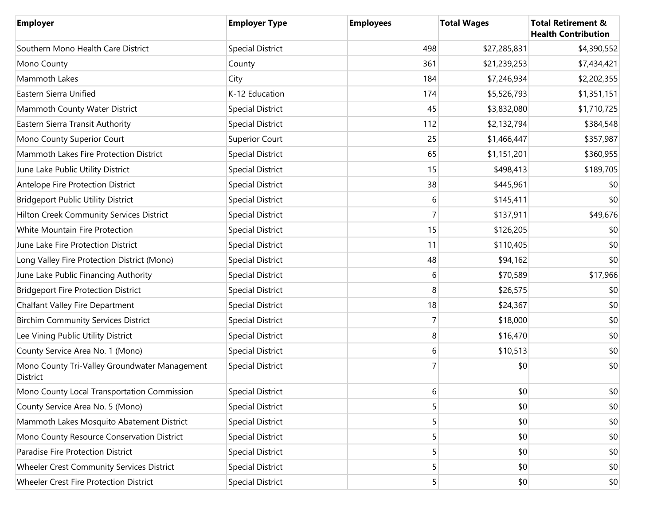| <b>Employer</b>                                           | <b>Employer Type</b>    | <b>Employees</b> | <b>Total Wages</b> | <b>Total Retirement &amp;</b><br><b>Health Contribution</b> |
|-----------------------------------------------------------|-------------------------|------------------|--------------------|-------------------------------------------------------------|
| Southern Mono Health Care District                        | <b>Special District</b> | 498              | \$27,285,831       | \$4,390,552                                                 |
| Mono County                                               | County                  | 361              | \$21,239,253       | \$7,434,421                                                 |
| Mammoth Lakes                                             | City                    | 184              | \$7,246,934        | \$2,202,355                                                 |
| Eastern Sierra Unified                                    | K-12 Education          | 174              | \$5,526,793        | \$1,351,151                                                 |
| Mammoth County Water District                             | <b>Special District</b> | 45               | \$3,832,080        | \$1,710,725                                                 |
| Eastern Sierra Transit Authority                          | <b>Special District</b> | 112              | \$2,132,794        | \$384,548                                                   |
| Mono County Superior Court                                | <b>Superior Court</b>   | 25               | \$1,466,447        | \$357,987                                                   |
| Mammoth Lakes Fire Protection District                    | <b>Special District</b> | 65               | \$1,151,201        | \$360,955                                                   |
| June Lake Public Utility District                         | <b>Special District</b> | 15               | \$498,413          | \$189,705                                                   |
| Antelope Fire Protection District                         | <b>Special District</b> | 38               | \$445,961          | \$0                                                         |
| <b>Bridgeport Public Utility District</b>                 | <b>Special District</b> | 6                | \$145,411          | \$0                                                         |
| Hilton Creek Community Services District                  | <b>Special District</b> |                  | \$137,911          | \$49,676                                                    |
| White Mountain Fire Protection                            | <b>Special District</b> | 15               | \$126,205          | \$0                                                         |
| June Lake Fire Protection District                        | <b>Special District</b> | 11               | \$110,405          | \$0                                                         |
| Long Valley Fire Protection District (Mono)               | <b>Special District</b> | 48               | \$94,162           | \$0                                                         |
| June Lake Public Financing Authority                      | <b>Special District</b> | 6                | \$70,589           | \$17,966                                                    |
| <b>Bridgeport Fire Protection District</b>                | <b>Special District</b> | 8                | \$26,575           | \$0                                                         |
| Chalfant Valley Fire Department                           | <b>Special District</b> | 18               | \$24,367           | \$0                                                         |
| <b>Birchim Community Services District</b>                | <b>Special District</b> |                  | \$18,000           | \$0                                                         |
| Lee Vining Public Utility District                        | <b>Special District</b> | 8                | \$16,470           | \$0                                                         |
| County Service Area No. 1 (Mono)                          | <b>Special District</b> | 6                | \$10,513           | \$0                                                         |
| Mono County Tri-Valley Groundwater Management<br>District | <b>Special District</b> |                  | \$0                | \$0                                                         |
| Mono County Local Transportation Commission               | <b>Special District</b> | 6                | \$0                | \$0                                                         |
| County Service Area No. 5 (Mono)                          | <b>Special District</b> | 5                | \$0                | \$0                                                         |
| Mammoth Lakes Mosquito Abatement District                 | <b>Special District</b> | 5                | \$0                | \$0                                                         |
| Mono County Resource Conservation District                | <b>Special District</b> | 5                | \$0                | \$0                                                         |
| Paradise Fire Protection District                         | <b>Special District</b> | 5                | \$0                | \$0                                                         |
| Wheeler Crest Community Services District                 | <b>Special District</b> | 5 <sup>1</sup>   | \$0                | \$0                                                         |
| Wheeler Crest Fire Protection District                    | <b>Special District</b> | 5 <sup>1</sup>   | \$0                | \$0                                                         |